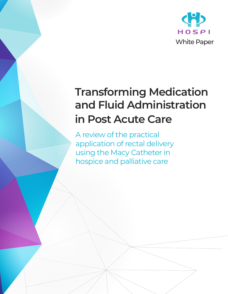

# **Transforming Medication and Fluid Administration in Post Acute Care**

A review of the practical application of rectal delivery using the Macy Catheter in hospice and palliative care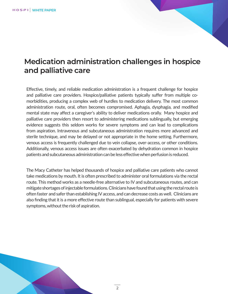## **Medication administration challenges in hospice and palliative care**

Effective, timely, and reliable medication administration is a frequent challenge for hospice and palliative care providers. Hospice/palliative patients typically suffer from multiple comorbidities, producing a complex web of hurdles to medication delivery. The most common administration route, oral, often becomes compromised. Aphagia, dysphagia, and modified mental state may affect a caregiver's ability to deliver medications orally. Many hospice and palliative care providers then resort to administering medications sublingually, but emerging evidence suggests this seldom works for severe symptoms and can lead to complications from aspiration. Intravenous and subcutaneous administration requires more advanced and sterile technique, and may be delayed or not appropriate in the home setting. Furthermore, venous access is frequently challenged due to vein collapse, over-access, or other conditions. Additionally, venous access issues are often exacerbated by dehydration common in hospice patients and subcutaneous administration can be less effective when perfusion is reduced.

The Macy Catheter has helped thousands of hospice and palliative care patients who cannot take medications by mouth. It is often prescribed to administer oral formulations via the rectal route. This method works as a needle-free alternative to IV and subcutaneous routes, and can mitigate shortages of injectable formulations. Clinicians have found that using the rectal route is often faster and safer than establishing IV access, and can decrease costs as well. Clinicians are also finding that it is a more effective route than sublingual, especially for patients with severe symptoms, without the risk of aspiration.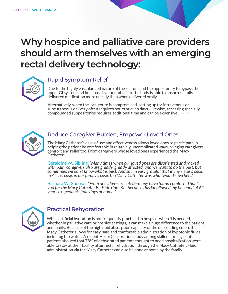## **Why hospice and palliative care providers should arm themselves with an emerging rectal delivery technology:**



#### Rapid Symptom Relief

Due to the highly vascularized nature of the rectum and the opportunity to bypass the upper GI system and first-pass liver metabolism, the body is able to absorb rectallydelivered medication more quickly than when delivered orally.

compounded suppositories requires additional time and can be expensive.  $1,2,3,4$ Alternatively, when the oral route is compromised, setting up for intravenous or subcutaneous delivery often requires hours or even days. Likewise, accessing specially



#### Reduce Caregiver Burden, Empower Loved Ones

The Macy Catheter's ease of use and effectiveness allows loved ones to participate in helping the patient be comfortable in relatively uncomplicated ways, bringing caregivers comfort and relief too. From caregivers whose loved ones experienced the Macy Catheter:

Geraldine W., Sibling: *"Many times when our loved ones are disoriented and racked with pain, caregivers also are greatly, greatly affected, and we want to do the best, but sometimes we don't know what is best. And so I'm very grateful that in my sister's case, in Alice's case, in our family's case, the Macy Catheter was what would save her..."*

Barbara W., Spouse: *"From one idea—executed—many have found comfort. Thank you for the Macy Catheter Bedside Care Kit, because this kit allowed my husband of 61 years to spend his final days at home."* 



### Practical Rehydration

able to stay at their facility after rectal rehydration through the Macy Catheter. Fluid While artificial hydration is not frequently practiced in hospice, when it is needed, whether in palliative care or hospice settings, it can make a huge difference to the patient and family. Because of the high fluid absorption capacity of the descending colon, the Macy Catheter allows for easy, safe and comfortable administration of hypotonic fluids, including tap water. A recent Hospi Corporation study among skilled nursing center patients showed that 78% of dehydrated patients thought to need hospitalization were administration via the Macy Catheter can also be done at home by the family.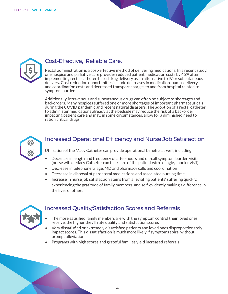



#### Cost-Effective, Reliable Care.

Rectal administration is a cost-effective method of delivering medications. In a recent study, one hospice and palliative care provider reduced patient medication costs by 45% after implementing rectal catheter-based drug delivery as an alternative to IV or subcutaneous delivery. Cost reduction opportunities include decreases in medication, pump, delivery and coordination costs and decreased transport charges to and from hospital related to symptom burden.

Additionally, intravenous and subcutaneous drugs can often be subject to shortages and backorders. Many hospices suffered one or more shortages of important pharmaceuticals during the COVID pandemic and recent natural disasters. The adoption of a rectal catheter to administer medications already at the bedside may reduce the risk of a backorder impacting patient care and may, in some circumstances, allow for a diminished need to ration critical drugs.



#### Increased Operational Efficiency and Nurse Job Satisfaction

Utilization of the Macy Catheter can provide operational benefits as well, including:

- Decrease in length and frequency of after-hours and on-call symptom burden visits (nurse with a Macy Catheter can take care of the patient with a single, shorter visit)
- Decrease in telephone triage, MD and pharmacy calls and coordination
- Decrease in disposal of parenteral medications and associated nursing time
- Increase in nurse job satisfaction stems from alleviating patients' suffering quickly, experiencing the gratitude of family members, and self-evidently making a difference in the lives of others



#### Increased Quality/Satisfaction Scores and Referrals

- The more satisified family members are with the symptom control their loved ones receive, the higher they'll rate quality and satisfaction scores
- Very dissatisfied or extremely dissatisfied patients and loved ones disproportionately impact scores. This dissatisfaction is much more likely if symptoms spiral without prompt alleviation
- Programs with high scores and grateful families yield increased referrals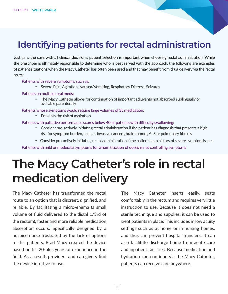## **Identifying patients for rectal administration**

Just as is the case with all clinical decisions, patient selection is important when choosing rectal administration. While the prescriber is ultimately responsible to determine who is best served with the approach, the following are examples of patient situations when the Macy Catheter has often been used and that may benefit from drug delivery via the rectal route:

Patients with severe symptoms, such as:

Severe Pain, Agitation, Nausea/Vomiting, Respiratory Distress, Seizures

#### Patients on multiple oral meds:

 The Macy Catheter allows for continuation of important adjuvants not absorbed sublingually or available parenterally

Patients whose symptoms would require large volumes of SL medication:

• Prevents the risk of aspiration

#### Patients with palliative performance scores below 40 or patients with difficulty swallowing:

- Consider pro-actively initiating rectal administration if the patient has diagnosis that presents a high risk for symptom burden, such as invasive cancers, brain tumors, ALS or pulmonary fibrosis
- Consider pro-actively initiating rectal administration if the patient has a history of severe symptom issues

Patients with mild or moderate symptoms for whom titration of doses is not controlling symptoms

# **The Macy Catheter's role in rectal medication delivery**

absorption occurs. Specifically designed by a The Macy Catheter has transformed the rectal route to an option that is discreet, dignified, and reliable. By facilitating a micro-enema (a small volume of fluid delivered to the distal 1/3rd of the rectum), faster and more reliable medication hospice nurse frustrated by the lack of options for his patients, Brad Macy created the device based on his 20-plus years of experience in the field. As a result, providers and caregivers find the device intuitive to use.

The Macy Catheter inserts easily, seats comfortably in the rectum and requires very little instruction to use. Because it does not need a sterile technique and supplies, it can be used to treat patients in place. This includes in low acuity settings such as at home or in nursing homes, and thus can prevent hospital transfers. It can also facilitate discharge home from acute care and inpatient facilities. Because medication and hydration can continue via the Macy Catheter, patients can receive care anywhere.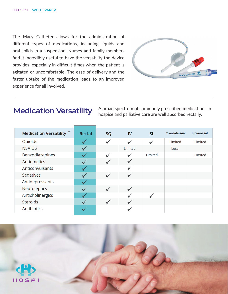The Macy Catheter allows for the administration of different types of medications, including liquids and oral solids in a suspension. Nurses and family members find it incredibly useful to have the versatility the device provides, especially in difficult times when the patient is agitated or uncomfortable. The ease of delivery and the faster uptake of the medication leads to an improved experience for all involved.



### **Medication Versatility**

A broad spectrum of commonly prescribed medications in hospice and palliative care are well absorbed rectally.

| <b>Medication Versatility *</b> | Rectal       | <b>SQ</b>               | IV           | <b>SL</b> | <b>Trans-dermal</b> | Intra-nasal |
|---------------------------------|--------------|-------------------------|--------------|-----------|---------------------|-------------|
| Opioids                         |              | $\overline{\mathbf{v}}$ |              |           | Limited             | Limited     |
| <b>NSAIDS</b>                   | $\checkmark$ |                         | Limited      |           | Local               |             |
| Benzodiazepines                 |              | $\overline{\mathbf{v}}$ |              | Limited   |                     | Limited     |
| Antiemetics                     |              | $\checkmark$            | $\checkmark$ |           |                     |             |
| Anticonvulsants                 |              |                         |              |           |                     |             |
| Sedatives                       |              | $\checkmark$            |              |           |                     |             |
| Antidepressants                 |              |                         |              |           |                     |             |
| Neuroleptics                    |              | $\overline{\mathbf{v}}$ | $\checkmark$ |           |                     |             |
| Anticholinergics                |              |                         |              |           |                     |             |
| <b>Steroids</b>                 |              | $\overline{\mathbf{v}}$ |              |           |                     |             |
| Antibiotics                     |              |                         |              |           |                     |             |

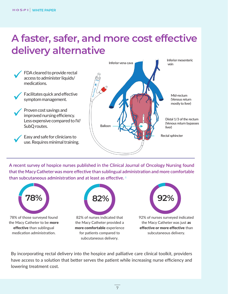# **A faster, safer, and more cost effective delivery alternative**



than subcutaneous administration and at least as effective.  $8$ A recent survey of hospice nurses published in the Clinical Journal of Oncology Nursing found that the Macy Catheter was more effective than sublingual administration and more comfortable



78% of those surveyed found the Macy Catheter to be more effective than sublingual medication administration.



82% of nurses indicated that the Macy Catheter provided a more comfortable experience for patients compared to subcutaneous delivery.



92% of nurses surveyed indicated the Macy Catheter was just as effective or more effective than subcutaneous delivery.

By incorporating rectal delivery into the hospice and palliative care clinical toolkit, providers have access to a solution that better serves the patient while increasing nurse efficiency and lowering treatment cost.